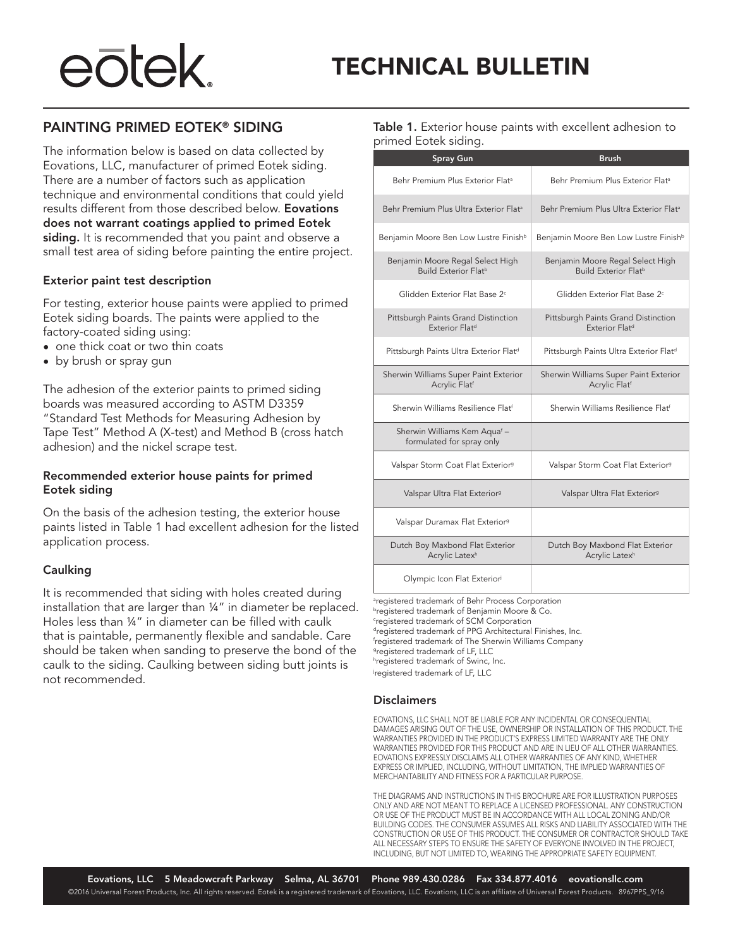# eōtek.

## PAINTING PRIMED EOTEK® SIDING

The information below is based on data collected by Eovations, LLC, manufacturer of primed Eotek siding. There are a number of factors such as application technique and environmental conditions that could yield results different from those described below. Eovations does not warrant coatings applied to primed Eotek siding. It is recommended that you paint and observe a small test area of siding before painting the entire project.

### Exterior paint test description

For testing, exterior house paints were applied to primed Eotek siding boards. The paints were applied to the factory-coated siding using:

- one thick coat or two thin coats
- by brush or spray gun

The adhesion of the exterior paints to primed siding boards was measured according to ASTM D3359 "Standard Test Methods for Measuring Adhesion by Tape Test" Method A (X-test) and Method B (cross hatch adhesion) and the nickel scrape test.

### Recommended exterior house paints for primed Eotek siding

On the basis of the adhesion testing, the exterior house paints listed in Table 1 had excellent adhesion for the listed application process.

### Caulking

It is recommended that siding with holes created during installation that are larger than ¼" in diameter be replaced. Holes less than ¼" in diameter can be filled with caulk that is paintable, permanently flexible and sandable. Care should be taken when sanding to preserve the bond of the caulk to the siding. Caulking between siding butt joints is not recommended.

Table 1. Exterior house paints with excellent adhesion to primed Eotek siding.

| <b>Spray Gun</b>                                                | <b>Brush</b>                                                       |
|-----------------------------------------------------------------|--------------------------------------------------------------------|
| Behr Premium Plus Exterior Flat <sup>a</sup>                    | Behr Premium Plus Exterior Flat <sup>a</sup>                       |
| Behr Premium Plus Ultra Exterior Flat <sup>a</sup>              | Behr Premium Plus Ultra Exterior Flat <sup>a</sup>                 |
| Benjamin Moore Ben Low Lustre Finish <sup>b</sup>               | Benjamin Moore Ben Low Lustre Finish <sup>b</sup>                  |
| Benjamin Moore Regal Select High<br><b>Build Exterior Flatb</b> | Benjamin Moore Regal Select High<br><b>Build Exterior Flatb</b>    |
| Glidden Exterior Flat Base 2 <sup>c</sup>                       | Glidden Exterior Flat Base 2 <sup>c</sup>                          |
| Pittsburgh Paints Grand Distinction<br><b>Exterior Flatd</b>    | Pittsburgh Paints Grand Distinction<br>Exterior Flat <sup>d</sup>  |
| Pittsburgh Paints Ultra Exterior Flatd                          | Pittsburgh Paints Ultra Exterior Flatd                             |
| Sherwin Williams Super Paint Exterior<br>Acrylic Flatf          | Sherwin Williams Super Paint Exterior<br>Acrylic Flat <sup>f</sup> |
| Sherwin Williams Resilience Flatf                               | Sherwin Williams Resilience Flatf                                  |
| Sherwin Williams Kem Aquaf -<br>formulated for spray only       |                                                                    |
| Valspar Storm Coat Flat Exterior <sup>9</sup>                   | Valspar Storm Coat Flat Exterior <sup>9</sup>                      |
| Valspar Ultra Flat Exterior <sup>9</sup>                        | Valspar Ultra Flat Exterior <sup>9</sup>                           |
| Valspar Duramax Flat Exterior <sup>9</sup>                      |                                                                    |
| Dutch Boy Maxbond Flat Exterior<br>Acrylic Latex <sup>h</sup>   | Dutch Boy Maxbond Flat Exterior<br>Acrylic Latex <sup>h</sup>      |
| Olympic Icon Flat Exteriori                                     |                                                                    |

<sup>a</sup>registered trademark of Behr Process Corporation **bregistered trademark of Benjamin Moore & Co.** c registered trademark of SCM Corporation dregistered trademark of PPG Architectural Finishes, Inc. f registered trademark of The Sherwin Williams Company gregistered trademark of LF, LLC h registered trademark of Swinc, Inc. j registered trademark of LF, LLC

### Disclaimers

EOVATIONS, LLC SHALL NOT BE LIABLE FOR ANY INCIDENTAL OR CONSEQUENTIAL DAMAGES ARISING OUT OF THE USE, OWNERSHIP OR INSTALLATION OF THIS PRODUCT. THE WARRANTIES PROVIDED IN THE PRODUCT'S EXPRESS LIMITED WARRANTY ARE THE ONLY WARRANTIES PROVIDED FOR THIS PRODUCT AND ARE IN LIEU OF ALL OTHER WARRANTIES. EOVATIONS EXPRESSLY DISCLAIMS ALL OTHER WARRANTIES OF ANY KIND, WHETHER EXPRESS OR IMPLIED, INCLUDING, WITHOUT LIMITATION, THE IMPLIED WARRANTIES OF MERCHANTABILITY AND FITNESS FOR A PARTICULAR PURPOSE.

THE DIAGRAMS AND INSTRUCTIONS IN THIS BROCHURE ARE FOR ILLUSTRATION PURPOSES ONLY AND ARE NOT MEANT TO REPLACE A LICENSED PROFESSIONAL. ANY CONSTRUCTION OR USE OF THE PRODUCT MUST BE IN ACCORDANCE WITH ALL LOCAL ZONING AND/OR BUILDING CODES. THE CONSUMER ASSUMES ALL RISKS AND LIABILITY ASSOCIATED WITH THE CONSTRUCTION OR USE OF THIS PRODUCT. THE CONSUMER OR CONTRACTOR SHOULD TAKE ALL NECESSARY STEPS TO ENSURE THE SAFETY OF EVERYONE INVOLVED IN THE PROJECT, INCLUDING, BUT NOT LIMITED TO, WEARING THE APPROPRIATE SAFETY EQUIPMENT.